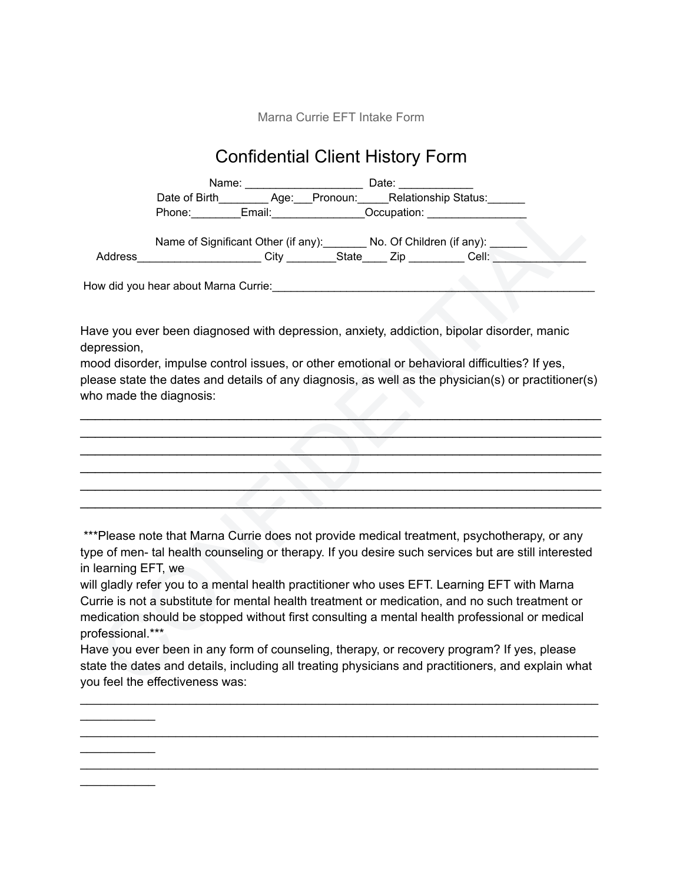Marna Currie EFT Intake Form

## Confidential Client History Form

|                     |                                 | Name: __________________________________ Date: __                                                              |  |                                                                                                      |  |
|---------------------|---------------------------------|----------------------------------------------------------------------------------------------------------------|--|------------------------------------------------------------------------------------------------------|--|
|                     |                                 |                                                                                                                |  | Date of Birth__________ Age:___Pronoun:______ Relationship Status:_______                            |  |
|                     |                                 |                                                                                                                |  | Phone: Email: Email: Occupation: COLOGIAL                                                            |  |
|                     |                                 |                                                                                                                |  |                                                                                                      |  |
|                     |                                 |                                                                                                                |  | Name of Significant Other (if any): No. Of Children (if any): ______                                 |  |
|                     |                                 |                                                                                                                |  | Address_______________________City _________State_____ Zip __________ Cell: ________________________ |  |
|                     |                                 | How did you hear about Marna Currie: Marrie and Allen and Allen and Allen and Allen and Allen and Allen and Al |  |                                                                                                      |  |
|                     |                                 |                                                                                                                |  |                                                                                                      |  |
|                     |                                 |                                                                                                                |  |                                                                                                      |  |
|                     |                                 |                                                                                                                |  | Have you ever been diagnosed with depression, anxiety, addiction, bipolar disorder, manic            |  |
| depression,         |                                 |                                                                                                                |  |                                                                                                      |  |
|                     |                                 |                                                                                                                |  | mood disorder, impulse control issues, or other emotional or behavioral difficulties? If yes,        |  |
|                     |                                 |                                                                                                                |  | please state the dates and details of any diagnosis, as well as the physician(s) or practitioner(s)  |  |
|                     | who made the diagnosis:         |                                                                                                                |  |                                                                                                      |  |
|                     |                                 |                                                                                                                |  |                                                                                                      |  |
|                     |                                 |                                                                                                                |  |                                                                                                      |  |
|                     |                                 |                                                                                                                |  |                                                                                                      |  |
|                     |                                 |                                                                                                                |  |                                                                                                      |  |
|                     |                                 |                                                                                                                |  |                                                                                                      |  |
|                     |                                 |                                                                                                                |  |                                                                                                      |  |
|                     |                                 |                                                                                                                |  |                                                                                                      |  |
|                     |                                 |                                                                                                                |  |                                                                                                      |  |
|                     |                                 |                                                                                                                |  |                                                                                                      |  |
|                     |                                 |                                                                                                                |  | ***Please note that Marna Currie does not provide medical treatment, psychotherapy, or any           |  |
|                     |                                 |                                                                                                                |  | type of men- tal health counseling or therapy. If you desire such services but are still interested  |  |
| in learning EFT, we |                                 |                                                                                                                |  |                                                                                                      |  |
|                     |                                 |                                                                                                                |  | will gladly refer you to a mental health practitioner who uses EFT. Learning EFT with Marna          |  |
|                     |                                 |                                                                                                                |  | Currie is not a substitute for mental health treatment or medication, and no such treatment or       |  |
|                     |                                 |                                                                                                                |  | medication should be stopped without first consulting a mental health professional or medical        |  |
| professional.***    |                                 |                                                                                                                |  |                                                                                                      |  |
|                     |                                 |                                                                                                                |  | Have you ever been in any form of counseling, therapy, or recovery program? If yes, please           |  |
|                     |                                 |                                                                                                                |  |                                                                                                      |  |
|                     |                                 |                                                                                                                |  | state the dates and details, including all treating physicians and practitioners, and explain what   |  |
|                     | you feel the effectiveness was: |                                                                                                                |  |                                                                                                      |  |

Have you ever been in any form of counseling, therapy, or recovery program? If yes, please state the dates and details, including all treating physicians and practitioners, and explain what you feel the effectiveness was:

\_\_\_\_\_\_\_\_\_\_\_\_\_\_\_\_\_\_\_\_\_\_\_\_\_\_\_\_\_\_\_\_\_\_\_\_\_\_\_\_\_\_\_\_\_\_\_\_\_\_\_\_\_\_\_\_\_\_\_\_\_\_\_\_\_\_\_\_\_\_\_\_\_\_\_\_

\_\_\_\_\_\_\_\_\_\_\_\_\_\_\_\_\_\_\_\_\_\_\_\_\_\_\_\_\_\_\_\_\_\_\_\_\_\_\_\_\_\_\_\_\_\_\_\_\_\_\_\_\_\_\_\_\_\_\_\_\_\_\_\_\_\_\_\_\_\_\_\_\_\_\_\_  $\mathcal{L}_\text{max}$  . The set of the set of the set of the set of the set of the set of the set of the set of the set of the set of the set of the set of the set of the set of the set of the set of the set of the set of the set \_\_\_\_\_\_\_\_\_\_\_\_\_\_\_\_\_\_\_\_\_\_\_\_\_\_\_\_\_\_\_\_\_\_\_\_\_\_\_\_\_\_\_\_\_\_\_\_\_\_\_\_\_\_\_\_\_\_\_\_\_\_\_\_\_\_\_\_\_\_\_\_\_\_\_\_  $\mathcal{L}_\text{max}$ 

 $\mathcal{L}_\text{max}$  . The set of the set of the set of the set of the set of the set of the set of the set of the set of the set of the set of the set of the set of the set of the set of the set of the set of the set of the set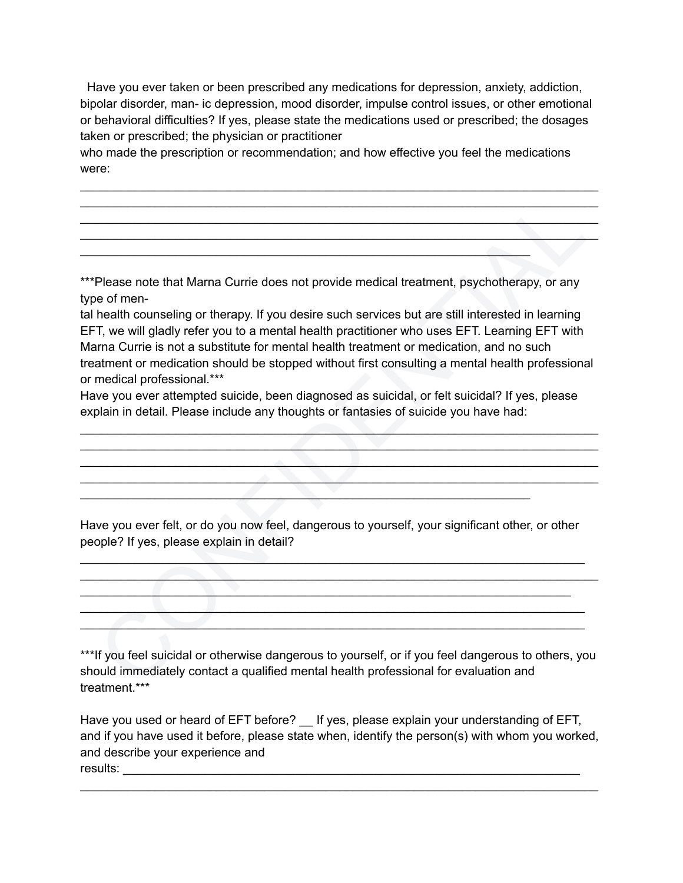Have you ever taken or been prescribed any medications for depression, anxiety, addiction, bipolar disorder, man- ic depression, mood disorder, impulse control issues, or other emotional or behavioral difficulties? If yes, please state the medications used or prescribed; the dosages taken or prescribed; the physician or practitioner

\_\_\_\_\_\_\_\_\_\_\_\_\_\_\_\_\_\_\_\_\_\_\_\_\_\_\_\_\_\_\_\_\_\_\_\_\_\_\_\_\_\_\_\_\_\_\_\_\_\_\_\_\_\_\_\_\_\_\_\_\_\_\_\_\_\_\_\_\_\_\_\_\_\_\_\_ \_\_\_\_\_\_\_\_\_\_\_\_\_\_\_\_\_\_\_\_\_\_\_\_\_\_\_\_\_\_\_\_\_\_\_\_\_\_\_\_\_\_\_\_\_\_\_\_\_\_\_\_\_\_\_\_\_\_\_\_\_\_\_\_\_\_\_\_\_\_\_\_\_\_\_\_ \_\_\_\_\_\_\_\_\_\_\_\_\_\_\_\_\_\_\_\_\_\_\_\_\_\_\_\_\_\_\_\_\_\_\_\_\_\_\_\_\_\_\_\_\_\_\_\_\_\_\_\_\_\_\_\_\_\_\_\_\_\_\_\_\_\_\_\_\_\_\_\_\_\_\_\_ \_\_\_\_\_\_\_\_\_\_\_\_\_\_\_\_\_\_\_\_\_\_\_\_\_\_\_\_\_\_\_\_\_\_\_\_\_\_\_\_\_\_\_\_\_\_\_\_\_\_\_\_\_\_\_\_\_\_\_\_\_\_\_\_\_\_\_\_\_\_\_\_\_\_\_\_

who made the prescription or recommendation; and how effective you feel the medications were:

\*\*\*Please note that Marna Currie does not provide medical treatment, psychotherapy, or any type of men-

 $\mathcal{L}_\text{max}$  , and the contract of the contract of the contract of the contract of the contract of the contract of

Please note that Marna Currie does not provide medical treatment, psychotherapy, or any<br>neath counseling or therapy. If you desire such services but are still interested in learning<br>T, we will gladly refer you to a mental tal health counseling or therapy. If you desire such services but are still interested in learning EFT, we will gladly refer you to a mental health practitioner who uses EFT. Learning EFT with Marna Currie is not a substitute for mental health treatment or medication, and no such treatment or medication should be stopped without first consulting a mental health professional or medical professional.\*\*\*

Have you ever attempted suicide, been diagnosed as suicidal, or felt suicidal? If yes, please explain in detail. Please include any thoughts or fantasies of suicide you have had:

 $\mathcal{L} = \{ \mathcal{L} \mid \mathcal{L} \in \mathcal{L} \}$  , where  $\mathcal{L} = \{ \mathcal{L} \mid \mathcal{L} \in \mathcal{L} \}$  , where  $\mathcal{L} = \{ \mathcal{L} \mid \mathcal{L} \in \mathcal{L} \}$  $\mathcal{L}_\mathcal{L}$  , and the contribution of the contribution of  $\mathcal{L}_\mathcal{L}$  , and the contribution of the contribution of  $\mathcal{L}_\mathcal{L}$ \_\_\_\_\_\_\_\_\_\_\_\_\_\_\_\_\_\_\_\_\_\_\_\_\_\_\_\_\_\_\_\_\_\_\_\_\_\_\_\_\_\_\_\_\_\_\_\_\_\_\_\_\_\_\_\_\_\_\_\_\_\_\_\_\_\_\_\_\_\_\_\_\_\_\_\_

Have you ever felt, or do you now feel, dangerous to yourself, your significant other, or other people? If yes, please explain in detail?

 $\mathcal{L}_\mathcal{L} = \{ \mathcal{L}_\mathcal{L} \mid \mathcal{L}_\mathcal{L} \in \mathcal{L}_\mathcal{L} \}$  , where  $\mathcal{L}_\mathcal{L} = \{ \mathcal{L}_\mathcal{L} \mid \mathcal{L}_\mathcal{L} \in \mathcal{L}_\mathcal{L} \}$  $\mathcal{L}_\mathcal{L} = \{ \mathcal{L}_\mathcal{L} \}$  , where  $\mathcal{L}_\mathcal{L}$  , where  $\mathcal{L}_\mathcal{L}$  , where  $\mathcal{L}_\mathcal{L}$  $\mathcal{L}_\mathcal{L} = \{ \mathcal{L}_\mathcal{L} = \{ \mathcal{L}_\mathcal{L} = \{ \mathcal{L}_\mathcal{L} = \{ \mathcal{L}_\mathcal{L} = \{ \mathcal{L}_\mathcal{L} = \{ \mathcal{L}_\mathcal{L} = \{ \mathcal{L}_\mathcal{L} = \{ \mathcal{L}_\mathcal{L} = \{ \mathcal{L}_\mathcal{L} = \{ \mathcal{L}_\mathcal{L} = \{ \mathcal{L}_\mathcal{L} = \{ \mathcal{L}_\mathcal{L} = \{ \mathcal{L}_\mathcal{L} = \{ \mathcal{L}_\mathcal{$ \_\_\_\_\_\_\_\_\_\_\_\_\_\_\_\_\_\_\_\_\_\_\_\_\_\_\_\_\_\_\_\_\_\_\_\_\_\_\_\_\_\_\_\_\_\_\_\_\_\_\_\_\_\_\_\_\_\_\_\_\_\_\_\_\_\_\_\_\_\_\_\_\_\_  $\mathcal{L}=\{x\in\mathbb{R}^n\mid x\in\mathbb{R}^n\mid x\in\mathbb{R}^n\mid x\in\mathbb{R}^n\}$ 

 $\mathcal{L}_\mathcal{L}$  , and the contribution of the contribution of the contribution of the contribution of the contribution of the contribution of the contribution of the contribution of the contribution of the contribution of

\*\*\*If you feel suicidal or otherwise dangerous to yourself, or if you feel dangerous to others, you should immediately contact a qualified mental health professional for evaluation and treatment<sup>\*\*\*</sup>

Have you used or heard of EFT before? \_ If yes, please explain your understanding of EFT, and if you have used it before, please state when, identify the person(s) with whom you worked, and describe your experience and results: \_\_\_\_\_\_\_\_\_\_\_\_\_\_\_\_\_\_\_\_\_\_\_\_\_\_\_\_\_\_\_\_\_\_\_\_\_\_\_\_\_\_\_\_\_\_\_\_\_\_\_\_\_\_\_\_\_\_\_\_\_\_\_\_\_\_\_

\_\_\_\_\_\_\_\_\_\_\_\_\_\_\_\_\_\_\_\_\_\_\_\_\_\_\_\_\_\_\_\_\_\_\_\_\_\_\_\_\_\_\_\_\_\_\_\_\_\_\_\_\_\_\_\_\_\_\_\_\_\_\_\_\_\_\_\_\_\_\_\_\_\_\_\_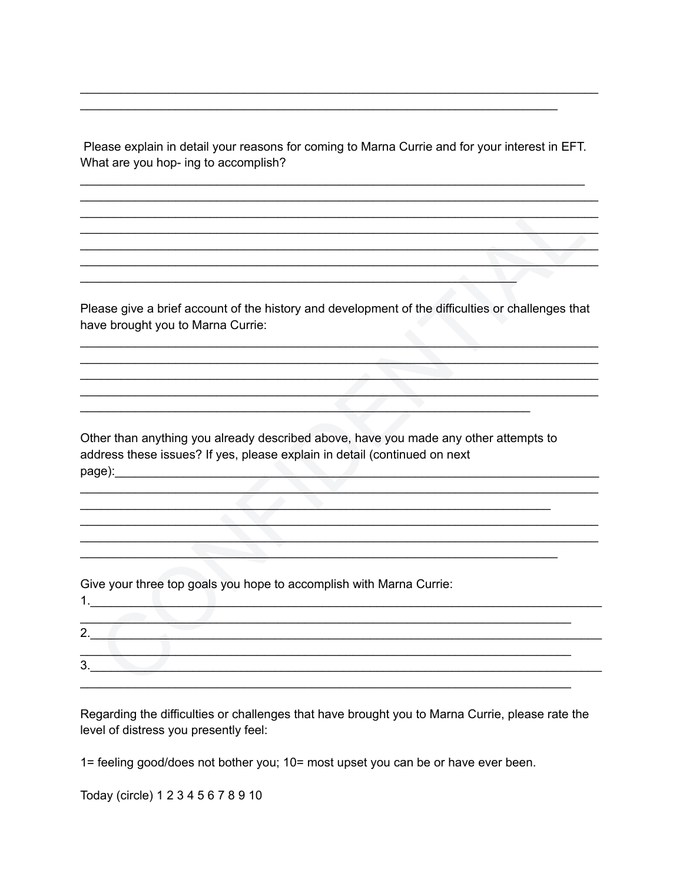Please explain in detail your reasons for coming to Marna Currie and for your interest in EFT. What are you hop- ing to accomplish?

Please give a brief account of the history and development of the difficulties or challenges that have brought you to Marna Currie:

Other than anything you already described above, have you made any other attempts to address these issues? If yes, please explain in detail (continued on next page): expression and the contract of the contract of the contract of the contract of the contract of the contract of the contract of the contract of the contract of the contract of the contract of the contract of the cont

Give your three top goals you hope to accomplish with Marna Currie:

 $1.$  The contract of the contract of  $\mathcal{L}$  and  $\mathcal{L}$  and  $\mathcal{L}$  are contract of  $\mathcal{L}$ 

| <u>.</u> |  |  |  |
|----------|--|--|--|
|          |  |  |  |
| ລ<br>ື   |  |  |  |
|          |  |  |  |

Regarding the difficulties or challenges that have brought you to Marna Currie, please rate the level of distress you presently feel:

1= feeling good/does not bother you; 10= most upset you can be or have ever been.

Today (circle) 1 2 3 4 5 6 7 8 9 10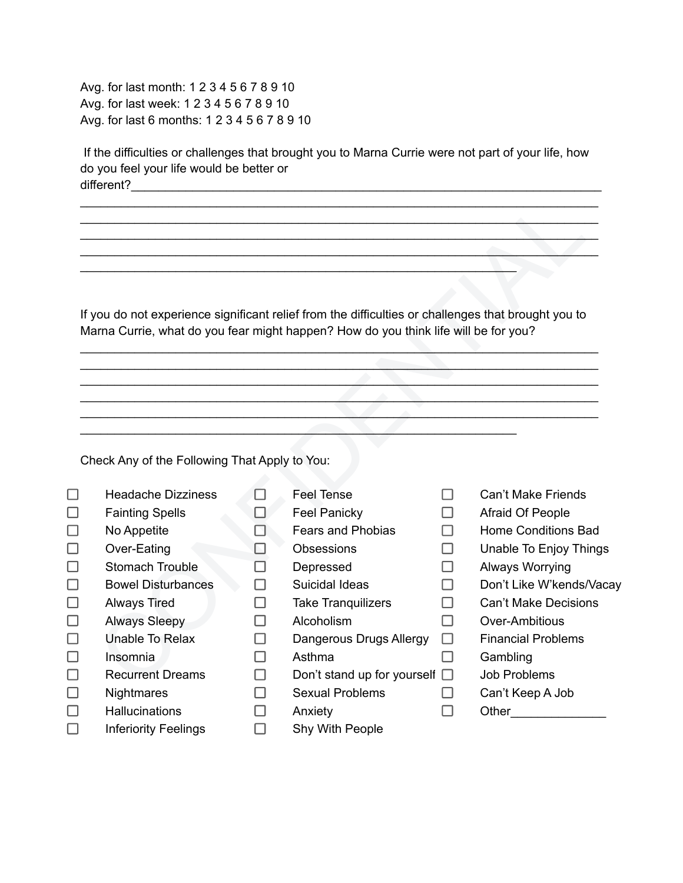Avg. for last month: 1 2 3 4 5 6 7 8 9 10 Avg. for last week: 1 2 3 4 5 6 7 8 9 10 Avg. for last 6 months: 1 2 3 4 5 6 7 8 9 10

If the difficulties or challenges that brought you to Marna Currie were not part of your life, how do you feel your life would be better or different?

|                                               |    | If you do not experience significant relief from the difficulties or challenges that brought you to<br>Marna Currie, what do you fear might happen? How do you think life will be for you? |        |                             |
|-----------------------------------------------|----|--------------------------------------------------------------------------------------------------------------------------------------------------------------------------------------------|--------|-----------------------------|
|                                               |    |                                                                                                                                                                                            |        |                             |
|                                               |    |                                                                                                                                                                                            |        |                             |
|                                               |    |                                                                                                                                                                                            |        |                             |
|                                               |    |                                                                                                                                                                                            |        |                             |
|                                               |    |                                                                                                                                                                                            |        |                             |
|                                               |    |                                                                                                                                                                                            |        |                             |
| Check Any of the Following That Apply to You: |    |                                                                                                                                                                                            |        |                             |
| <b>Headache Dizziness</b>                     |    | <b>Feel Tense</b>                                                                                                                                                                          | H      | <b>Can't Make Friends</b>   |
| <b>Fainting Spells</b>                        |    | <b>Feel Panicky</b>                                                                                                                                                                        |        | Afraid Of People            |
| No Appetite                                   |    | <b>Fears and Phobias</b>                                                                                                                                                                   | П      | <b>Home Conditions Bad</b>  |
| Over-Eating                                   |    | <b>Obsessions</b>                                                                                                                                                                          | П      | Unable To Enjoy Things      |
| <b>Stomach Trouble</b>                        |    | Depressed                                                                                                                                                                                  | П      | Always Worrying             |
| <b>Bowel Disturbances</b>                     |    | Suicidal Ideas                                                                                                                                                                             |        | Don't Like W'kends/Vacay    |
| <b>Always Tired</b>                           |    | <b>Take Tranquilizers</b>                                                                                                                                                                  | ΙI     | <b>Can't Make Decisions</b> |
| <b>Always Sleepy</b>                          |    | Alcoholism                                                                                                                                                                                 | П      | Over-Ambitious              |
| Unable To Relax                               |    | Dangerous Drugs Allergy                                                                                                                                                                    | $\Box$ | <b>Financial Problems</b>   |
| Insomnia                                      |    | Asthma                                                                                                                                                                                     | П      | Gambling                    |
| <b>Recurrent Dreams</b>                       | ΙI | Don't stand up for yourself $\Box$                                                                                                                                                         |        | <b>Job Problems</b>         |
| <b>Nightmares</b>                             |    | <b>Sexual Problems</b>                                                                                                                                                                     |        | Can't Keep A Job            |
| <b>Hallucinations</b>                         |    | Anxiety                                                                                                                                                                                    |        | Other                       |
| <b>Inferiority Feelings</b>                   |    | <b>Shy With People</b>                                                                                                                                                                     |        |                             |

- Feel Tense
- Feel Panicky
- Fears and Phobias
- Obsessions
- Depressed
- Suicidal Ideas
- Take Tranquilizers
- Alcoholism
	- Dangerous Drugs Allergy  $\square$
- Asthma
- Don't stand up for yourself  $\square$ 
	- Sexual Problems
	- $\Box$ Anxiety
	- $\Box$ Shy With People
- Can't Make Friends
- Afraid Of People
- Home Conditions Bad
- Unable To Enjoy Things
- Always Worrying
- Don't Like W'kends/Vacay
- Can't Make Decisions
- Over-Ambitious
- Financial Problems
- Gambling

- Job Problems
- Can't Keep A Job
	- Other<sub>is</sub>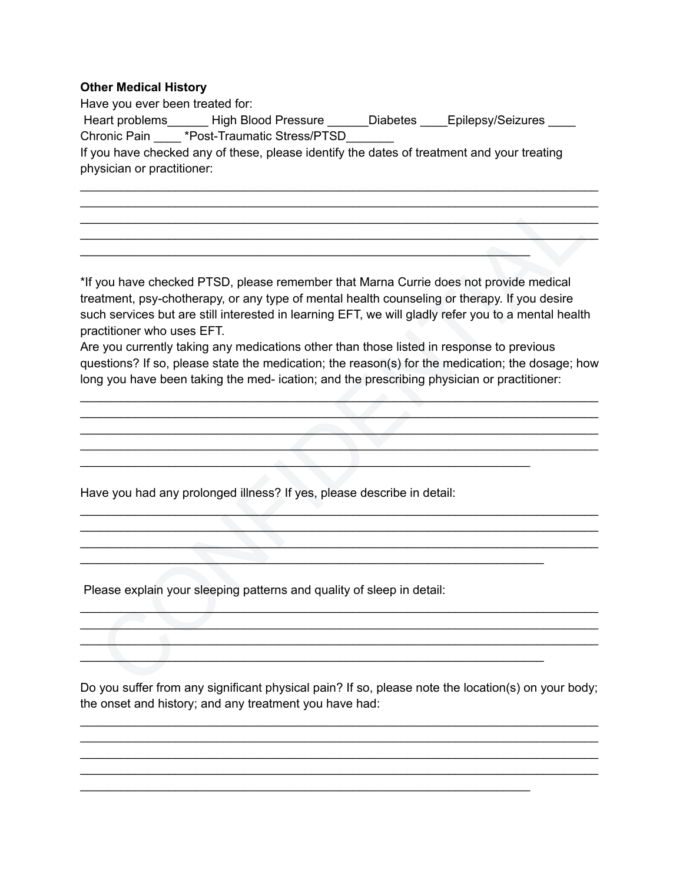## **Other Medical History**

| Have you ever been treated for: |                                                                                            |                 |                   |
|---------------------------------|--------------------------------------------------------------------------------------------|-----------------|-------------------|
| Heart problems                  | <b>High Blood Pressure</b>                                                                 | <b>Diabetes</b> | Epilepsy/Seizures |
| Chronic Pain                    | *Post-Traumatic Stress/PTSD                                                                |                 |                   |
| physician or practitioner:      | If you have checked any of these, please identify the dates of treatment and your treating |                 |                   |
|                                 |                                                                                            |                 |                   |

\_\_\_\_\_\_\_\_\_\_\_\_\_\_\_\_\_\_\_\_\_\_\_\_\_\_\_\_\_\_\_\_\_\_\_\_\_\_\_\_\_\_\_\_\_\_\_\_\_\_\_\_\_\_\_\_\_\_\_\_\_\_\_\_\_\_\_\_\_\_\_\_\_\_\_\_ \_\_\_\_\_\_\_\_\_\_\_\_\_\_\_\_\_\_\_\_\_\_\_\_\_\_\_\_\_\_\_\_\_\_\_\_\_\_\_\_\_\_\_\_\_\_\_\_\_\_\_\_\_\_\_\_\_\_\_\_\_\_\_\_\_\_\_\_\_\_\_\_\_\_\_\_ \_\_\_\_\_\_\_\_\_\_\_\_\_\_\_\_\_\_\_\_\_\_\_\_\_\_\_\_\_\_\_\_\_\_\_\_\_\_\_\_\_\_\_\_\_\_\_\_\_\_\_\_\_\_\_\_\_\_\_\_\_\_\_\_\_\_\_\_\_\_\_\_\_\_\_\_

Solution and the chicago and provide medicinal the state of the provide medical<br>
Solution the studient of the studient of the studient of the studient of the studient<br>
the studient of the studient of the studient of the st \*If you have checked PTSD, please remember that Marna Currie does not provide medical treatment, psy-chotherapy, or any type of mental health counseling or therapy. If you desire such services but are still interested in learning EFT, we will gladly refer you to a mental health practitioner who uses EFT.

 $\mathcal{L}_\text{max}$  , and the contract of the contract of the contract of the contract of the contract of the contract of

 $\mathcal{L}_\mathcal{L}$  , and the contribution of the contribution of  $\mathcal{L}_\mathcal{L}$  , and the contribution of  $\mathcal{L}_\mathcal{L}$ 

 $\mathcal{L}_\mathcal{L} = \{ \mathcal{L}_\mathcal{L} \mid \mathcal{L}_\mathcal{L} \}$  , where  $\mathcal{L}_\mathcal{L}$  ,  $\mathcal{L}_\mathcal{L}$  ,  $\mathcal{L}_\mathcal{L}$  ,  $\mathcal{L}_\mathcal{L}$  ,  $\mathcal{L}_\mathcal{L}$  ,  $\mathcal{L}_\mathcal{L}$  ,  $\mathcal{L}_\mathcal{L}$  ,  $\mathcal{L}_\mathcal{L}$  ,  $\mathcal{L}_\mathcal{L}$  ,  $\mathcal{L}_\mathcal{L}$ 

 $\mathcal{L}_\mathcal{L} = \{ \mathcal{L}_\mathcal{L} \mid \mathcal{L}_\mathcal{L} \}$ 

\_\_\_\_\_\_\_\_\_\_\_\_\_\_\_\_\_\_\_\_\_\_\_\_\_\_\_\_\_\_\_\_\_\_\_\_\_\_\_\_\_\_\_\_\_\_\_\_\_\_\_\_\_\_\_\_\_\_\_\_\_\_\_\_\_\_

Are you currently taking any medications other than those listed in response to previous questions? If so, please state the medication; the reason(s) for the medication; the dosage; how long you have been taking the med- ication; and the prescribing physician or practitioner:

 $\mathcal{L}_\mathcal{A}$  , and the contribution of the contribution of  $\mathcal{L}_\mathcal{A}$  , and the contribution of the contribution of  $\mathcal{L}_\mathcal{A}$  , and the contribution of the contribution of the contribution of the contribution of the contribution of the contribution of the contribution of the contribution of the contribution of the contribution of

 $\mathcal{L}_\mathcal{L}$  , and the contribution of the contribution of the contribution of the contribution of the contribution of the contribution of the contribution of the contribution of the contribution of the contribution of \_\_\_\_\_\_\_\_\_\_\_\_\_\_\_\_\_\_\_\_\_\_\_\_\_\_\_\_\_\_\_\_\_\_\_\_\_\_\_\_\_\_\_\_\_\_\_\_\_\_\_\_\_\_\_\_\_\_\_\_\_\_\_\_\_\_\_\_\_\_\_\_\_\_\_\_  $\mathcal{L}_\mathcal{L} = \mathcal{L}_\mathcal{L} = \mathcal{L}_\mathcal{L} = \mathcal{L}_\mathcal{L} = \mathcal{L}_\mathcal{L} = \mathcal{L}_\mathcal{L} = \mathcal{L}_\mathcal{L} = \mathcal{L}_\mathcal{L} = \mathcal{L}_\mathcal{L} = \mathcal{L}_\mathcal{L} = \mathcal{L}_\mathcal{L} = \mathcal{L}_\mathcal{L} = \mathcal{L}_\mathcal{L} = \mathcal{L}_\mathcal{L} = \mathcal{L}_\mathcal{L} = \mathcal{L}_\mathcal{L} = \mathcal{L}_\mathcal{L}$ 

Have you had any prolonged illness? If yes, please describe in detail:

Please explain your sleeping patterns and quality of sleep in detail:

Do you suffer from any significant physical pain? If so, please note the location(s) on your body; the onset and history; and any treatment you have had:

\_\_\_\_\_\_\_\_\_\_\_\_\_\_\_\_\_\_\_\_\_\_\_\_\_\_\_\_\_\_\_\_\_\_\_\_\_\_\_\_\_\_\_\_\_\_\_\_\_\_\_\_\_\_\_\_\_\_\_\_\_\_\_\_\_\_\_\_\_\_\_\_\_\_\_\_ \_\_\_\_\_\_\_\_\_\_\_\_\_\_\_\_\_\_\_\_\_\_\_\_\_\_\_\_\_\_\_\_\_\_\_\_\_\_\_\_\_\_\_\_\_\_\_\_\_\_\_\_\_\_\_\_\_\_\_\_\_\_\_\_\_\_\_\_\_\_\_\_\_\_\_\_ \_\_\_\_\_\_\_\_\_\_\_\_\_\_\_\_\_\_\_\_\_\_\_\_\_\_\_\_\_\_\_\_\_\_\_\_\_\_\_\_\_\_\_\_\_\_\_\_\_\_\_\_\_\_\_\_\_\_\_\_\_\_\_\_\_\_\_\_\_\_\_\_\_\_\_\_ \_\_\_\_\_\_\_\_\_\_\_\_\_\_\_\_\_\_\_\_\_\_\_\_\_\_\_\_\_\_\_\_\_\_\_\_\_\_\_\_\_\_\_\_\_\_\_\_\_\_\_\_\_\_\_\_\_\_\_\_\_\_\_\_\_\_\_\_\_\_\_\_\_\_\_\_

\_\_\_\_\_\_\_\_\_\_\_\_\_\_\_\_\_\_\_\_\_\_\_\_\_\_\_\_\_\_\_\_\_\_\_\_\_\_\_\_\_\_\_\_\_\_\_\_\_\_\_\_\_\_\_\_\_\_\_\_\_\_\_\_\_\_\_\_\_\_\_\_\_\_\_\_  $\mathcal{L}_\mathcal{L}$  , which is a set of the set of the set of the set of the set of the set of the set of the set of the set of the set of the set of the set of the set of the set of the set of the set of the set of the set of  $\Box$  . The contribution of the contribution of the contribution of the contribution of the contribution of the contribution of the contribution of the contribution of the contribution of the contribution of the contributi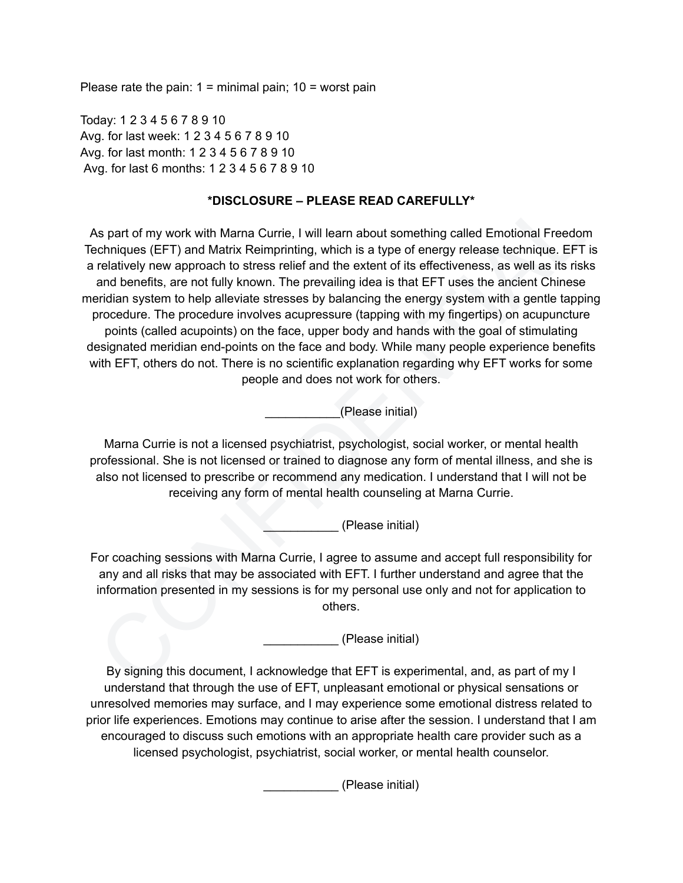Please rate the pain:  $1 =$  minimal pain;  $10 =$  worst pain

Today: 1 2 3 4 5 6 7 8 9 10 Avg. for last week: 1 2 3 4 5 6 7 8 9 10 Avg. for last month: 1 2 3 4 5 6 7 8 9 10 Avg. for last 6 months: 1 2 3 4 5 6 7 8 9 10

## **\*DISCLOSURE – PLEASE READ CAREFULLY\***

"DISCLOSURE – PLEASE READ CAREFULLY"<br>
Solution of the matcuring Currel, I will learn about something called Emotional Freedom<br>
Scheme (EFT) and Mattix Reimprinting, which is a type of energy release technique. EFT is<br>
rela As part of my work with Marna Currie, I will learn about something called Emotional Freedom Techniques (EFT) and Matrix Reimprinting, which is a type of energy release technique. EFT is a relatively new approach to stress relief and the extent of its effectiveness, as well as its risks and benefits, are not fully known. The prevailing idea is that EFT uses the ancient Chinese meridian system to help alleviate stresses by balancing the energy system with a gentle tapping procedure. The procedure involves acupressure (tapping with my fingertips) on acupuncture points (called acupoints) on the face, upper body and hands with the goal of stimulating designated meridian end-points on the face and body. While many people experience benefits with EFT, others do not. There is no scientific explanation regarding why EFT works for some people and does not work for others.

\_\_\_\_\_\_\_\_\_\_\_(Please initial)

Marna Currie is not a licensed psychiatrist, psychologist, social worker, or mental health professional. She is not licensed or trained to diagnose any form of mental illness, and she is also not licensed to prescribe or recommend any medication. I understand that I will not be receiving any form of mental health counseling at Marna Currie.

\_\_\_\_\_\_\_\_\_\_\_ (Please initial)

For coaching sessions with Marna Currie, I agree to assume and accept full responsibility for any and all risks that may be associated with EFT. I further understand and agree that the information presented in my sessions is for my personal use only and not for application to others.

\_\_\_\_\_\_\_\_\_\_\_ (Please initial)

By signing this document, I acknowledge that EFT is experimental, and, as part of my I understand that through the use of EFT, unpleasant emotional or physical sensations or unresolved memories may surface, and I may experience some emotional distress related to prior life experiences. Emotions may continue to arise after the session. I understand that I am encouraged to discuss such emotions with an appropriate health care provider such as a licensed psychologist, psychiatrist, social worker, or mental health counselor.

\_\_\_\_\_\_\_\_\_\_\_ (Please initial)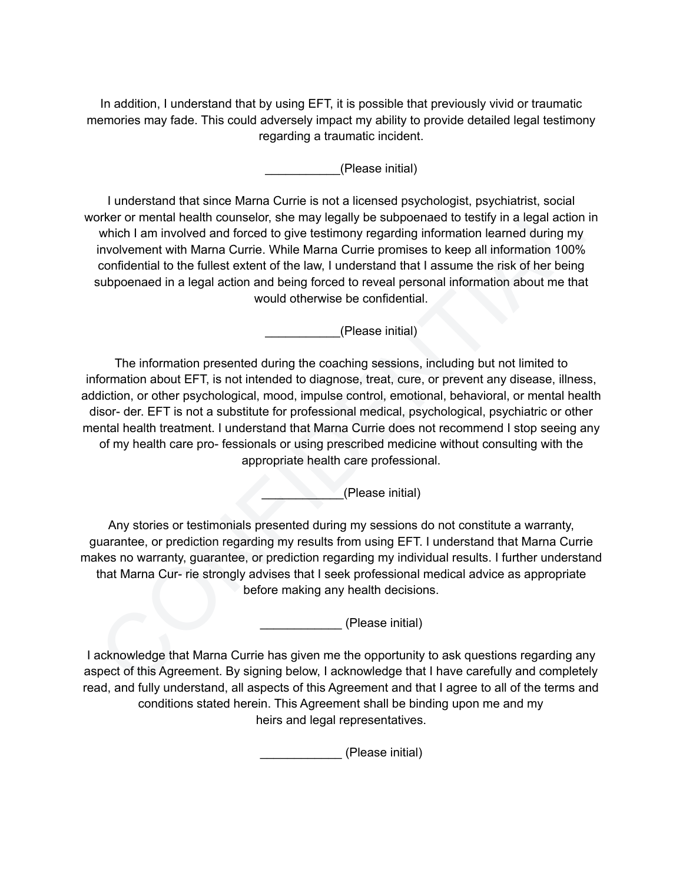In addition, I understand that by using EFT, it is possible that previously vivid or traumatic memories may fade. This could adversely impact my ability to provide detailed legal testimony regarding a traumatic incident.

\_\_\_\_\_\_\_\_\_\_\_(Please initial)

I understand that since Marna Currie is not a licensed psychologist, psychiatrist, social worker or mental health counselor, she may legally be subpoenaed to testify in a legal action in which I am involved and forced to give testimony regarding information learned during my involvement with Marna Currie. While Marna Currie promises to keep all information 100% confidential to the fullest extent of the law, I understand that I assume the risk of her being subpoenaed in a legal action and being forced to reveal personal information about me that would otherwise be confidential.

\_\_\_\_\_\_\_\_\_\_\_(Please initial)

I understand that since Marian Curries in oth air lossness psychologist, psychiatist, social<br>volver or mental health counselor, she may legally be subpoenaed to testify in a legal action in<br>which I am involved and forced t The information presented during the coaching sessions, including but not limited to information about EFT, is not intended to diagnose, treat, cure, or prevent any disease, illness, addiction, or other psychological, mood, impulse control, emotional, behavioral, or mental health disor- der. EFT is not a substitute for professional medical, psychological, psychiatric or other mental health treatment. I understand that Marna Currie does not recommend I stop seeing any of my health care pro- fessionals or using prescribed medicine without consulting with the appropriate health care professional.

\_\_\_\_\_\_\_\_\_\_\_\_(Please initial)

Any stories or testimonials presented during my sessions do not constitute a warranty, guarantee, or prediction regarding my results from using EFT. I understand that Marna Currie makes no warranty, guarantee, or prediction regarding my individual results. I further understand that Marna Cur- rie strongly advises that I seek professional medical advice as appropriate before making any health decisions.

\_\_\_\_\_\_\_\_\_\_\_\_ (Please initial)

I acknowledge that Marna Currie has given me the opportunity to ask questions regarding any aspect of this Agreement. By signing below, I acknowledge that I have carefully and completely read, and fully understand, all aspects of this Agreement and that I agree to all of the terms and conditions stated herein. This Agreement shall be binding upon me and my heirs and legal representatives.

\_\_\_\_\_\_\_\_\_\_\_\_ (Please initial)